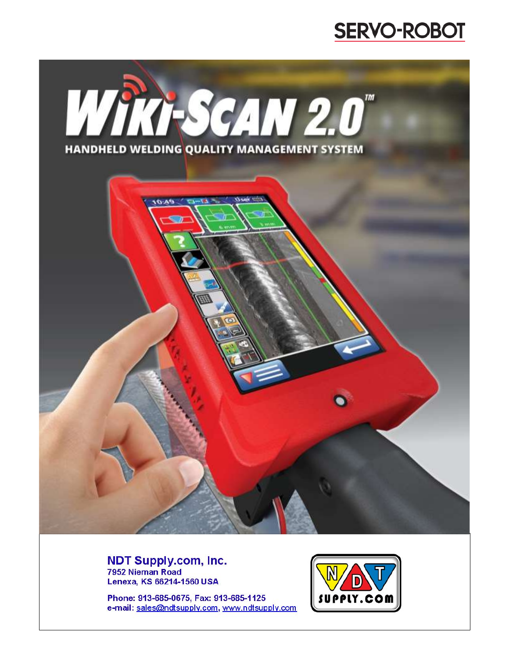



**NDT Supply.com, Inc.** 7952 Nieman Road Lenexa, KS 66214-1560 USA

Phone: 913-685-0675, Fax: 913-685-1125 e-mail: sales@ndtsupply.com, www.ndtsupply.com

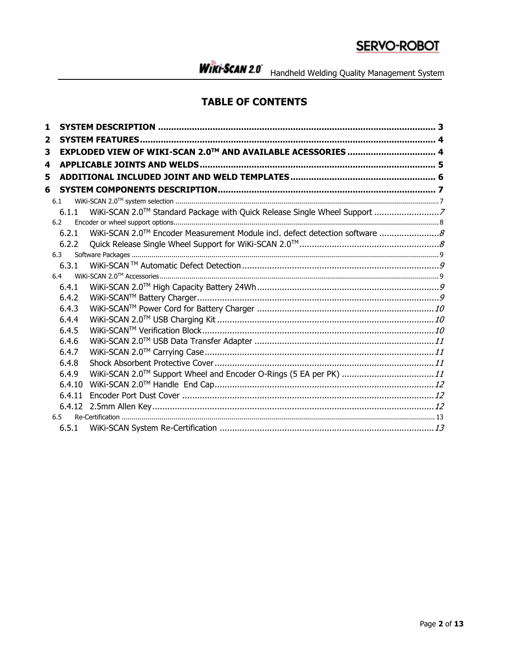WIRI-SCAN 2.0 Handheld Welding Quality Management System

### **TABLE OF CONTENTS**

| 1   |        |                                                             |  |
|-----|--------|-------------------------------------------------------------|--|
| 2   |        |                                                             |  |
| 3   |        | EXPLODED VIEW OF WIKI-SCAN 2.0™ AND AVAILABLE ACESSORIES  4 |  |
| 4   |        |                                                             |  |
| 5   |        |                                                             |  |
| 6   |        |                                                             |  |
| 6.1 |        |                                                             |  |
|     | 6.1.1  |                                                             |  |
|     | 6.2    |                                                             |  |
|     | 6.2.1  |                                                             |  |
|     | 6.2.2  |                                                             |  |
|     | 6.3    |                                                             |  |
|     | 6.3.1  |                                                             |  |
|     | 6.4    |                                                             |  |
|     | 6.4.1  |                                                             |  |
|     | 6.4.2  |                                                             |  |
|     | 6.4.3  |                                                             |  |
|     | 6.4.4  |                                                             |  |
|     | 6.4.5  |                                                             |  |
|     | 6.4.6  |                                                             |  |
|     | 6.4.7  |                                                             |  |
|     | 6.4.8  |                                                             |  |
|     | 6.4.9  |                                                             |  |
|     | 6.4.10 |                                                             |  |
|     | 6.4.11 |                                                             |  |
|     |        |                                                             |  |
|     | 6.5    |                                                             |  |
|     | 6.5.1  |                                                             |  |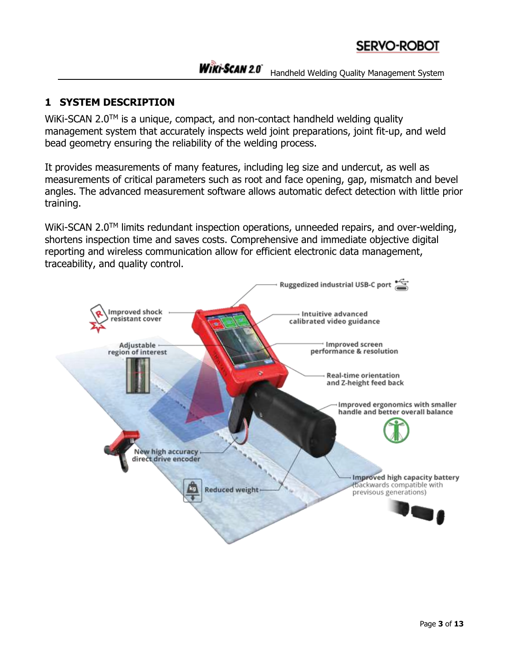### **1 SYSTEM DESCRIPTION**

WiKi-SCAN 2.0<sup>TM</sup> is a unique, compact, and non-contact handheld welding quality management system that accurately inspects weld joint preparations, joint fit-up, and weld bead geometry ensuring the reliability of the welding process.

It provides measurements of many features, including leg size and undercut, as well as measurements of critical parameters such as root and face opening, gap, mismatch and bevel angles. The advanced measurement software allows automatic defect detection with little prior training.

WiKi-SCAN 2.0<sup>TM</sup> limits redundant inspection operations, unneeded repairs, and over-welding, shortens inspection time and saves costs. Comprehensive and immediate objective digital reporting and wireless communication allow for efficient electronic data management, traceability, and quality control.

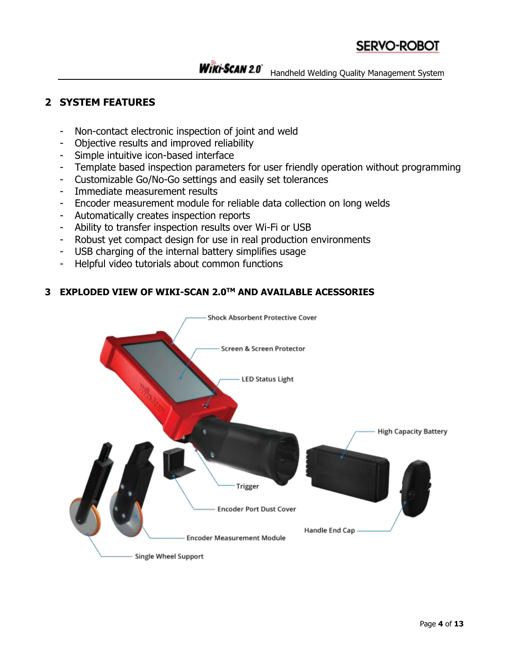#### **2 SYSTEM FEATURES**

- Non-contact electronic inspection of joint and weld
- Objective results and improved reliability
- Simple intuitive icon-based interface
- Template based inspection parameters for user friendly operation without programming
- Customizable Go/No-Go settings and easily set tolerances
- Immediate measurement results
- Encoder measurement module for reliable data collection on long welds
- Automatically creates inspection reports
- Ability to transfer inspection results over Wi-Fi or USB
- Robust yet compact design for use in real production environments
- USB charging of the internal battery simplifies usage
- Helpful video tutorials about common functions

#### **3 EXPLODED VIEW OF WIKI-SCAN 2.0TM AND AVAILABLE ACESSORIES**

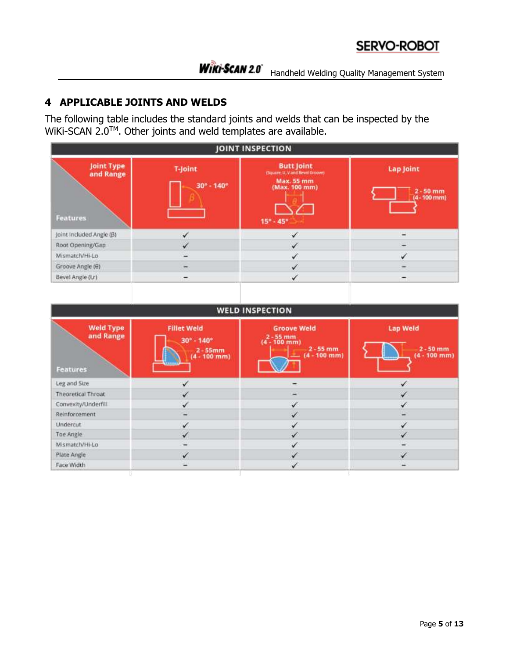### **4 APPLICABLE JOINTS AND WELDS**

The following table includes the standard joints and welds that can be inspected by the  $W$ iKi-SCAN 2.0<sup>TM</sup>. Other joints and weld templates are available.

| JOINT INSPECTION                    |                                              |                                                                                                                           |                                                      |
|-------------------------------------|----------------------------------------------|---------------------------------------------------------------------------------------------------------------------------|------------------------------------------------------|
| Joint Type<br>and Range<br>Features | <b>T-Joint</b><br>$30^{\circ} - 140^{\circ}$ | <b>Butt Joint</b><br>: (Square, U. V and Bevel Groove)<br><b>Max. 55 mm</b><br>(Max. 100 mm)<br>$15^{\circ} - 45^{\circ}$ | <b>Lap Joint</b><br>$2 - 50$ mm<br>$(4 - 100$ mm $)$ |
| Joint Included Angle (B)            | V                                            | $\checkmark$                                                                                                              | $\sim$                                               |
| Root Opening/Gap                    | √                                            | $\checkmark$                                                                                                              | W.                                                   |
| Mismatch/Hi-Lo                      |                                              | ✓                                                                                                                         | $\checkmark$                                         |
| Groove Angle (0)                    |                                              | √                                                                                                                         |                                                      |
| Bevel Angle (l,r)                   |                                              | v                                                                                                                         |                                                      |

| <b>WELD INSPECTION</b>                           |                                                                                                      |                                                                                    |                                                  |
|--------------------------------------------------|------------------------------------------------------------------------------------------------------|------------------------------------------------------------------------------------|--------------------------------------------------|
| <b>Weld Type</b><br>and Range<br><b>Features</b> | <b>Fillet Weld</b><br>$30^{\circ} - 140^{\circ}$<br>$2 - 55$ mm<br>$(4 - 100$ mm)<br><b>Research</b> | <b>Groove Weld</b><br>$2 - 55$ mm<br>(4 - 100 mm)<br>$2 - 55$ mm<br>$(4 - 100$ mm) | <b>Lap Weld</b><br>$2 - 50$ mm<br>$(4 - 100$ mm) |
| Leg and Size                                     | $\checkmark$                                                                                         |                                                                                    | $\checkmark$                                     |
| Theoretical Throat                               | $\checkmark$                                                                                         | $\overline{\phantom{a}}$                                                           | $\checkmark$                                     |
| Convexity/Underfill                              | ✓                                                                                                    | $\checkmark$                                                                       | ✓                                                |
| Reinforcement                                    | $\overline{\phantom{0}}$                                                                             | $\checkmark$                                                                       | -                                                |
| Undercut                                         | ✓                                                                                                    | $\checkmark$                                                                       | ✓                                                |
| Toe Angle                                        | ✓                                                                                                    | ✓                                                                                  | ✓                                                |
| Mismatch/Hi-Lo                                   | $\overline{\phantom{0}}$                                                                             | $\checkmark$                                                                       | $\overline{\phantom{0}}$                         |
| Plate Angle                                      | $\checkmark$                                                                                         | √                                                                                  | $\checkmark$                                     |
| Face Width                                       | ÷                                                                                                    | $\checkmark$                                                                       | ٠                                                |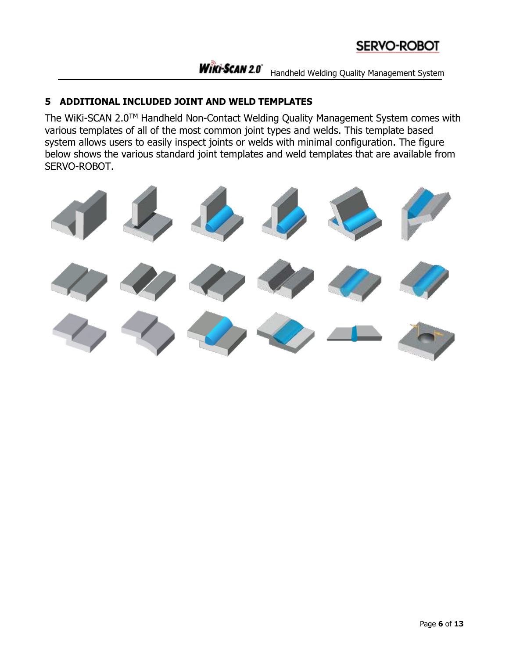#### **5 ADDITIONAL INCLUDED JOINT AND WELD TEMPLATES**

The WiKi-SCAN 2.0TM Handheld Non-Contact Welding Quality Management System comes with various templates of all of the most common joint types and welds. This template based system allows users to easily inspect joints or welds with minimal configuration. The figure below shows the various standard joint templates and weld templates that are available from SERVO-ROBOT.

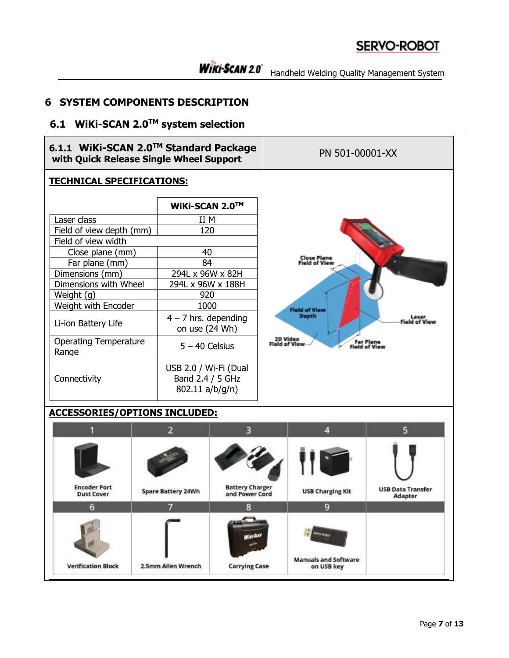#### **6 SYSTEM COMPONENTS DESCRIPTION**

#### **6.1 WiKi-SCAN 2.0TM system selection**



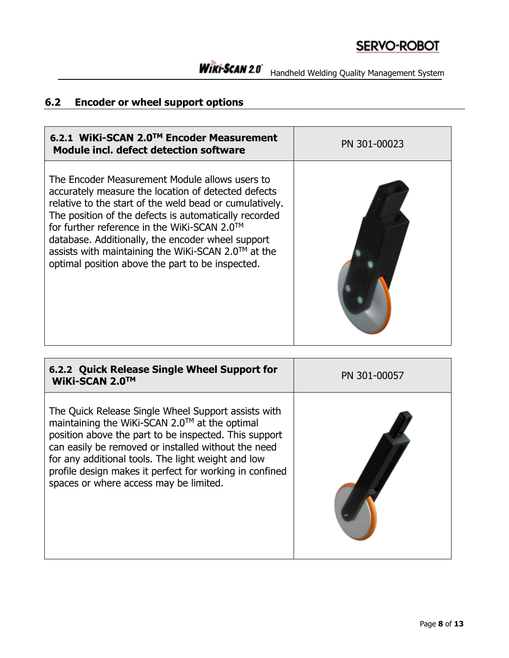## **6.2 Encoder or wheel support options**

| 6.2.1 WiKi-SCAN 2.0™ Encoder Measurement<br>Module incl. defect detection software                                                                                                                                                                                                                                                                                                                                                                   | PN 301-00023 |
|------------------------------------------------------------------------------------------------------------------------------------------------------------------------------------------------------------------------------------------------------------------------------------------------------------------------------------------------------------------------------------------------------------------------------------------------------|--------------|
| The Encoder Measurement Module allows users to<br>accurately measure the location of detected defects<br>relative to the start of the weld bead or cumulatively.<br>The position of the defects is automatically recorded<br>for further reference in the WiKi-SCAN 2.0 <sup>TM</sup><br>database. Additionally, the encoder wheel support<br>assists with maintaining the WiKi-SCAN 2.0™ at the<br>optimal position above the part to be inspected. |              |

| 6.2.2 Quick Release Single Wheel Support for<br>WiKi-SCAN 2.0™                                                                                                                                                                                                                                                                                                                  | PN 301-00057 |
|---------------------------------------------------------------------------------------------------------------------------------------------------------------------------------------------------------------------------------------------------------------------------------------------------------------------------------------------------------------------------------|--------------|
| The Quick Release Single Wheel Support assists with<br>maintaining the WiKi-SCAN 2.0™ at the optimal<br>position above the part to be inspected. This support<br>can easily be removed or installed without the need<br>for any additional tools. The light weight and low<br>profile design makes it perfect for working in confined<br>spaces or where access may be limited. |              |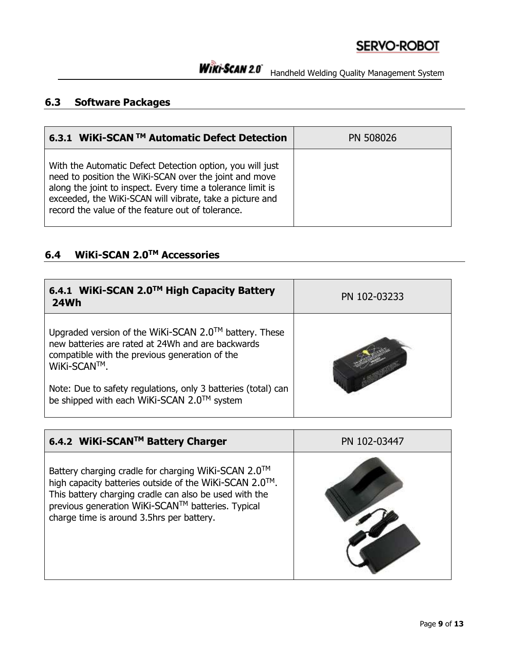# WIRI-SCAN 2.0 Handheld Welding Quality Management System

### **6.3 Software Packages**

| 6.3.1 WiKi-SCAN ™ Automatic Defect Detection                                                                                                                                                                                                                                                        | PN 508026 |
|-----------------------------------------------------------------------------------------------------------------------------------------------------------------------------------------------------------------------------------------------------------------------------------------------------|-----------|
| With the Automatic Defect Detection option, you will just<br>need to position the WiKi-SCAN over the joint and move<br>along the joint to inspect. Every time a tolerance limit is<br>exceeded, the WiKi-SCAN will vibrate, take a picture and<br>record the value of the feature out of tolerance. |           |

## **6.4 WiKi-SCAN 2.0TM Accessories**

| 6.4.1 WiKi-SCAN 2.0™ High Capacity Battery<br><b>24Wh</b>                                                                                                                   | PN 102-03233 |
|-----------------------------------------------------------------------------------------------------------------------------------------------------------------------------|--------------|
| Upgraded version of the WiKi-SCAN 2.0™ battery. These<br>new batteries are rated at 24Wh and are backwards<br>compatible with the previous generation of the<br>WiKi-SCAN™. |              |
| Note: Due to safety regulations, only 3 batteries (total) can<br>be shipped with each WiKi-SCAN 2.0™ system                                                                 |              |

| 6.4.2 WiKi-SCAN™ Battery Charger                                                                                                                                                                                                                                          | PN 102-03447 |
|---------------------------------------------------------------------------------------------------------------------------------------------------------------------------------------------------------------------------------------------------------------------------|--------------|
| Battery charging cradle for charging WiKi-SCAN 2.0™<br>high capacity batteries outside of the WiKi-SCAN 2.0™.<br>This battery charging cradle can also be used with the<br>previous generation WiKi-SCAN™ batteries. Typical<br>charge time is around 3.5hrs per battery. |              |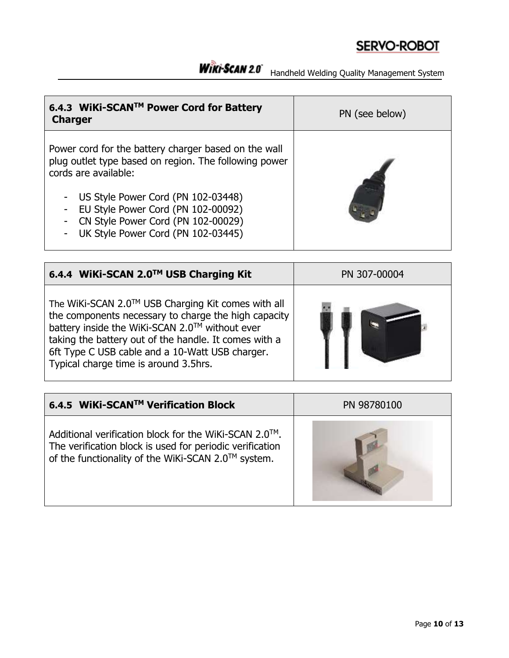WIRI-SCAN 2.0 Handheld Welding Quality Management System

| 6.4.3 WiKi-SCAN™ Power Cord for Battery<br><b>Charger</b>                                                                                                                                                                                                                                                                                                                         | PN (see below) |
|-----------------------------------------------------------------------------------------------------------------------------------------------------------------------------------------------------------------------------------------------------------------------------------------------------------------------------------------------------------------------------------|----------------|
| Power cord for the battery charger based on the wall<br>plug outlet type based on region. The following power<br>cords are available:<br>US Style Power Cord (PN 102-03448)<br>$\overline{\phantom{a}}$<br>EU Style Power Cord (PN 102-00092)<br>$\overline{\phantom{a}}$<br>CN Style Power Cord (PN 102-00029)<br>$\overline{\phantom{a}}$<br>UK Style Power Cord (PN 102-03445) |                |

| 6.4.4 WiKi-SCAN 2.0™ USB Charging Kit                                                                                                                                                                                                                                                                             | PN 307-00004 |
|-------------------------------------------------------------------------------------------------------------------------------------------------------------------------------------------------------------------------------------------------------------------------------------------------------------------|--------------|
| The WiKi-SCAN 2.0™ USB Charging Kit comes with all<br>the components necessary to charge the high capacity<br>battery inside the WiKi-SCAN 2.0™ without ever<br>taking the battery out of the handle. It comes with a<br>6ft Type C USB cable and a 10-Watt USB charger.<br>Typical charge time is around 3.5hrs. |              |

| 6.4.5 WiKi-SCAN™ Verification Block                                                                                                                                     | PN 98780100 |
|-------------------------------------------------------------------------------------------------------------------------------------------------------------------------|-------------|
| Additional verification block for the WiKi-SCAN 2.0™.<br>The verification block is used for periodic verification<br>of the functionality of the WiKi-SCAN 2.0™ system. |             |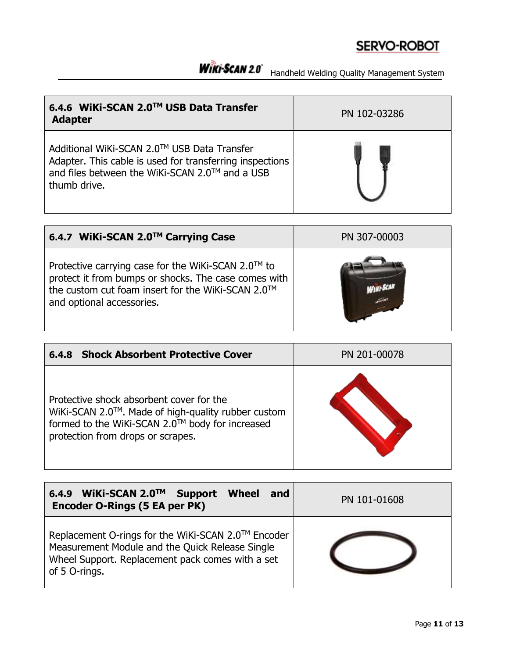# WIRI-SCAN 2.0<sup>\*</sup> Handheld Welding Quality Management System

| 6.4.6 WiKi-SCAN 2.0™ USB Data Transfer<br><b>Adapter</b>                                                                                                                  | PN 102-03286 |
|---------------------------------------------------------------------------------------------------------------------------------------------------------------------------|--------------|
| Additional WiKi-SCAN 2.0™ USB Data Transfer<br>Adapter. This cable is used for transferring inspections<br>and files between the WiKi-SCAN 2.0™ and a USB<br>thumb drive. |              |

| 6.4.7 WiKi-SCAN 2.0™ Carrying Case                                                                                                                                                                        | PN 307-00003 |
|-----------------------------------------------------------------------------------------------------------------------------------------------------------------------------------------------------------|--------------|
| Protective carrying case for the WiKi-SCAN 2.0 <sup>TM</sup> to<br>protect it from bumps or shocks. The case comes with<br>the custom cut foam insert for the WiKi-SCAN 2.0™<br>and optional accessories. |              |

| <b>Shock Absorbent Protective Cover</b><br>6.4.8                                                                                                                                       | PN 201-00078 |
|----------------------------------------------------------------------------------------------------------------------------------------------------------------------------------------|--------------|
| Protective shock absorbent cover for the<br>WiKi-SCAN 2.0™. Made of high-quality rubber custom<br>formed to the WiKi-SCAN 2.0™ body for increased<br>protection from drops or scrapes. |              |

| WiKi-SCAN 2.0™<br><b>Support</b><br><b>Wheel</b><br>and<br>6.4.9<br>Encoder O-Rings (5 EA per PK)                                                                          | PN 101-01608 |
|----------------------------------------------------------------------------------------------------------------------------------------------------------------------------|--------------|
| Replacement O-rings for the WiKi-SCAN 2.0™ Encoder<br>Measurement Module and the Quick Release Single<br>Wheel Support. Replacement pack comes with a set<br>of 5 O-rings. |              |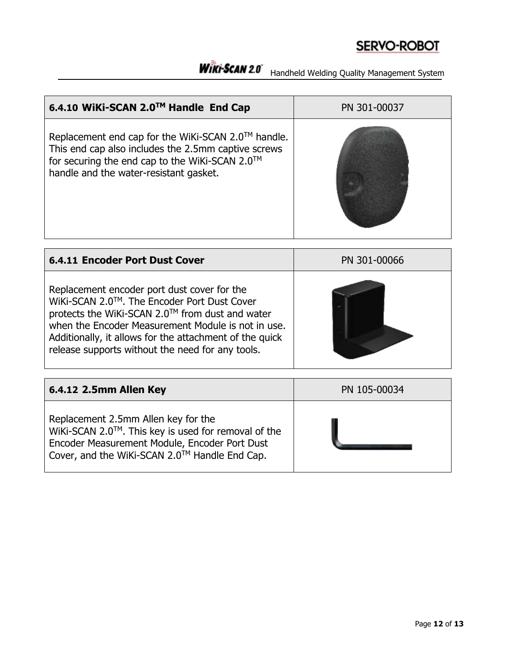# WIRI-SCAN 2.0<sup>\*</sup> Handheld Welding Quality Management System

| 6.4.10 WiKi-SCAN 2.0™ Handle End Cap                                                                                                                                                                  | PN 301-00037 |
|-------------------------------------------------------------------------------------------------------------------------------------------------------------------------------------------------------|--------------|
| Replacement end cap for the WiKi-SCAN 2.0™ handle.<br>This end cap also includes the 2.5mm captive screws<br>for securing the end cap to the WiKi-SCAN 2.0™<br>handle and the water-resistant gasket. |              |

| <b>6.4.11 Encoder Port Dust Cover</b>                                                                                                                                                                                                                                                                              | PN 301-00066 |
|--------------------------------------------------------------------------------------------------------------------------------------------------------------------------------------------------------------------------------------------------------------------------------------------------------------------|--------------|
| Replacement encoder port dust cover for the<br>WiKi-SCAN 2.0™. The Encoder Port Dust Cover<br>protects the WiKi-SCAN 2.0™ from dust and water<br>when the Encoder Measurement Module is not in use.<br>Additionally, it allows for the attachment of the quick<br>release supports without the need for any tools. |              |

| 6.4.12 2.5mm Allen Key                                                                                                                                                                       | PN 105-00034 |
|----------------------------------------------------------------------------------------------------------------------------------------------------------------------------------------------|--------------|
| Replacement 2.5mm Allen key for the<br>WiKi-SCAN 2.0™. This key is used for removal of the<br>Encoder Measurement Module, Encoder Port Dust<br>Cover, and the WiKi-SCAN 2.0™ Handle End Cap. |              |